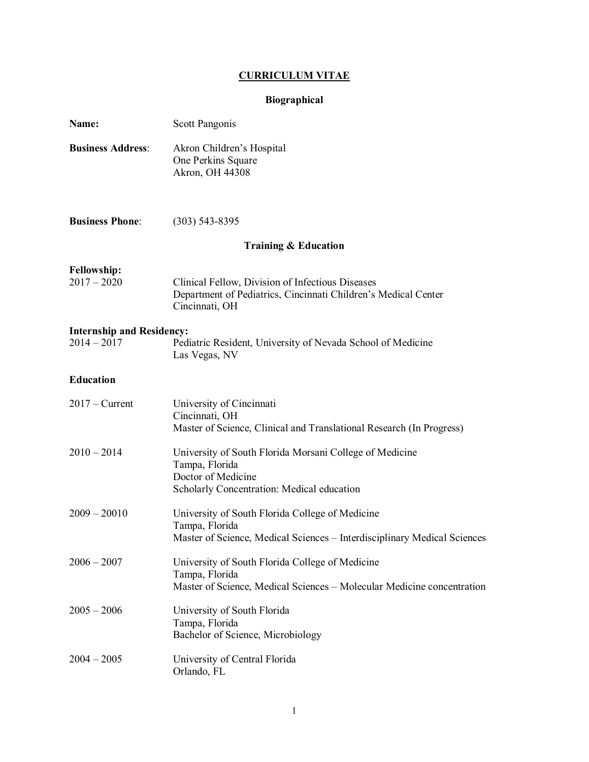# **CURRICULUM VITAE**

# **Biographical**

| Name:                                             | Scott Pangonis                                                                                                                                |  |  |
|---------------------------------------------------|-----------------------------------------------------------------------------------------------------------------------------------------------|--|--|
| <b>Business Address:</b>                          | Akron Children's Hospital<br>One Perkins Square<br>Akron, OH 44308                                                                            |  |  |
| <b>Business Phone:</b>                            | $(303)$ 543-8395                                                                                                                              |  |  |
| <b>Training &amp; Education</b>                   |                                                                                                                                               |  |  |
| <b>Fellowship:</b><br>$2017 - 2020$               | Clinical Fellow, Division of Infectious Diseases<br>Department of Pediatrics, Cincinnati Children's Medical Center<br>Cincinnati, OH          |  |  |
| <b>Internship and Residency:</b><br>$2014 - 2017$ | Pediatric Resident, University of Nevada School of Medicine<br>Las Vegas, NV                                                                  |  |  |
| <b>Education</b>                                  |                                                                                                                                               |  |  |
| $2017 -$ Current                                  | University of Cincinnati<br>Cincinnati, OH<br>Master of Science, Clinical and Translational Research (In Progress)                            |  |  |
| $2010 - 2014$                                     | University of South Florida Morsani College of Medicine<br>Tampa, Florida<br>Doctor of Medicine<br>Scholarly Concentration: Medical education |  |  |
| $2009 - 20010$                                    | University of South Florida College of Medicine<br>Tampa, Florida<br>Master of Science, Medical Sciences - Interdisciplinary Medical Sciences |  |  |
| $2006 - 2007$                                     | University of South Florida College of Medicine<br>Tampa, Florida<br>Master of Science, Medical Sciences - Molecular Medicine concentration   |  |  |
| $2005 - 2006$                                     | University of South Florida<br>Tampa, Florida<br>Bachelor of Science, Microbiology                                                            |  |  |
| $2004 - 2005$                                     | University of Central Florida<br>Orlando, FL                                                                                                  |  |  |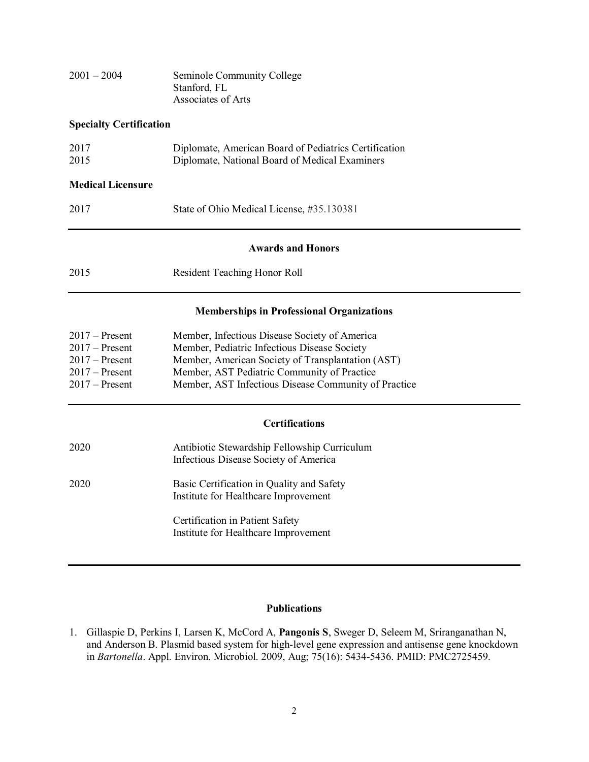| $2001 - 2004$ | Seminole Community College |
|---------------|----------------------------|
|               | Stanford, FL               |
|               | Associates of Arts         |

## **Specialty Certification**

| 2017 | Diplomate, American Board of Pediatrics Certification |
|------|-------------------------------------------------------|
| 2015 | Diplomate, National Board of Medical Examiners        |

## **Medical Licensure**

#### **Awards and Honors**

| 2015 |                                     |
|------|-------------------------------------|
|      | <b>Resident Teaching Honor Roll</b> |

#### **Memberships in Professional Organizations**

| $2017 -$ Present | Member, Infectious Disease Society of America        |
|------------------|------------------------------------------------------|
| $2017 -$ Present | Member, Pediatric Infectious Disease Society         |
| $2017 -$ Present | Member, American Society of Transplantation (AST)    |
| $2017 -$ Present | Member, AST Pediatric Community of Practice          |
| $2017 -$ Present | Member, AST Infectious Disease Community of Practice |

### **Certifications**

| 2020 | Antibiotic Stewardship Fellowship Curriculum<br>Infectious Disease Society of America |
|------|---------------------------------------------------------------------------------------|
| 2020 | Basic Certification in Quality and Safety<br>Institute for Healthcare Improvement     |
|      | Certification in Patient Safety<br>Institute for Healthcare Improvement               |

#### **Publications**

1. Gillaspie D, Perkins I, Larsen K, McCord A, **Pangonis S**, Sweger D, Seleem M, Sriranganathan N, and Anderson B. Plasmid based system for high-level gene expression and antisense gene knockdown in *Bartonella*. Appl. Environ. Microbiol. 2009, Aug; 75(16): 5434-5436. PMID: PMC2725459.